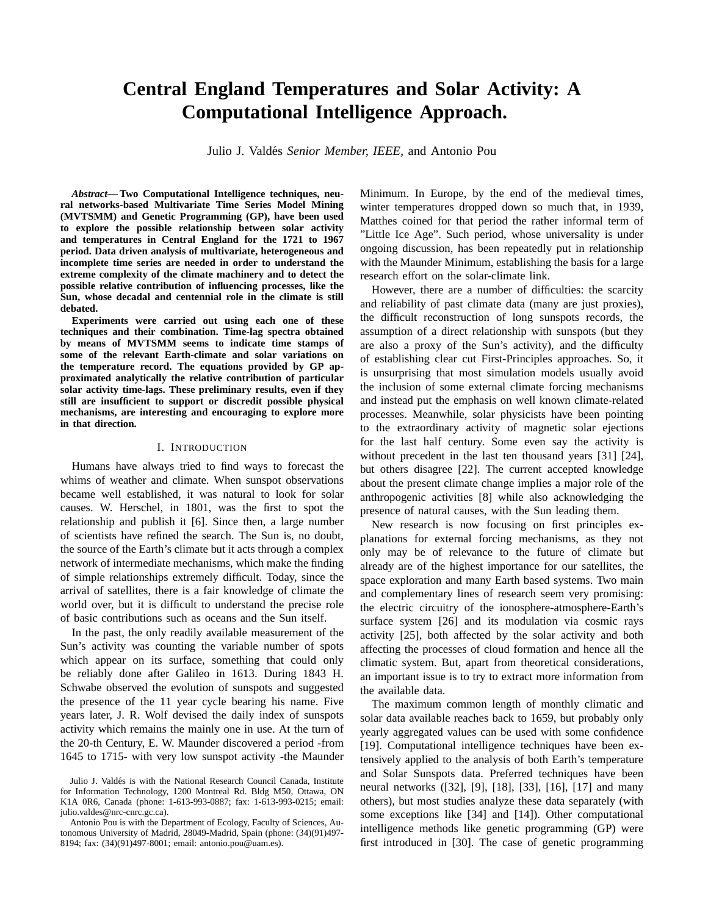# **Central England Temperatures and Solar Activity: A Computational Intelligence Approach.**

Julio J. Valdés Senior Member, IEEE, and Antonio Pou

*Abstract***— Two Computational Intelligence techniques, neural networks-based Multivariate Time Series Model Mining (MVTSMM) and Genetic Programming (GP), have been used to explore the possible relationship between solar activity and temperatures in Central England for the 1721 to 1967 period. Data driven analysis of multivariate, heterogeneous and incomplete time series are needed in order to understand the extreme complexity of the climate machinery and to detect the possible relative contribution of influencing processes, like the Sun, whose decadal and centennial role in the climate is still debated.**

**Experiments were carried out using each one of these techniques and their combination. Time-lag spectra obtained by means of MVTSMM seems to indicate time stamps of some of the relevant Earth-climate and solar variations on the temperature record. The equations provided by GP approximated analytically the relative contribution of particular solar activity time-lags. These preliminary results, even if they still are insufficient to support or discredit possible physical mechanisms, are interesting and encouraging to explore more in that direction.**

#### I. INTRODUCTION

Humans have always tried to find ways to forecast the whims of weather and climate. When sunspot observations became well established, it was natural to look for solar causes. W. Herschel, in 1801, was the first to spot the relationship and publish it [6]. Since then, a large number of scientists have refined the search. The Sun is, no doubt, the source of the Earth's climate but it acts through a complex network of intermediate mechanisms, which make the finding of simple relationships extremely difficult. Today, since the arrival of satellites, there is a fair knowledge of climate the world over, but it is difficult to understand the precise role of basic contributions such as oceans and the Sun itself.

In the past, the only readily available measurement of the Sun's activity was counting the variable number of spots which appear on its surface, something that could only be reliably done after Galileo in 1613. During 1843 H. Schwabe observed the evolution of sunspots and suggested the presence of the 11 year cycle bearing his name. Five years later, J. R. Wolf devised the daily index of sunspots activity which remains the mainly one in use. At the turn of the 20-th Century, E. W. Maunder discovered a period -from 1645 to 1715- with very low sunspot activity -the Maunder

Minimum. In Europe, by the end of the medieval times, winter temperatures dropped down so much that, in 1939, Matthes coined for that period the rather informal term of "Little Ice Age". Such period, whose universality is under ongoing discussion, has been repeatedly put in relationship with the Maunder Minimum, establishing the basis for a large research effort on the solar-climate link.

However, there are a number of difficulties: the scarcity and reliability of past climate data (many are just proxies), the difficult reconstruction of long sunspots records, the assumption of a direct relationship with sunspots (but they are also a proxy of the Sun's activity), and the difficulty of establishing clear cut First-Principles approaches. So, it is unsurprising that most simulation models usually avoid the inclusion of some external climate forcing mechanisms and instead put the emphasis on well known climate-related processes. Meanwhile, solar physicists have been pointing to the extraordinary activity of magnetic solar ejections for the last half century. Some even say the activity is without precedent in the last ten thousand years [31] [24], but others disagree [22]. The current accepted knowledge about the present climate change implies a major role of the anthropogenic activities [8] while also acknowledging the presence of natural causes, with the Sun leading them.

New research is now focusing on first principles explanations for external forcing mechanisms, as they not only may be of relevance to the future of climate but already are of the highest importance for our satellites, the space exploration and many Earth based systems. Two main and complementary lines of research seem very promising: the electric circuitry of the ionosphere-atmosphere-Earth's surface system [26] and its modulation via cosmic rays activity [25], both affected by the solar activity and both affecting the processes of cloud formation and hence all the climatic system. But, apart from theoretical considerations, an important issue is to try to extract more information from the available data.

The maximum common length of monthly climatic and solar data available reaches back to 1659, but probably only yearly aggregated values can be used with some confidence [19]. Computational intelligence techniques have been extensively applied to the analysis of both Earth's temperature and Solar Sunspots data. Preferred techniques have been neural networks ([32], [9], [18], [33], [16], [17] and many others), but most studies analyze these data separately (with some exceptions like [34] and [14]). Other computational intelligence methods like genetic programming (GP) were first introduced in [30]. The case of genetic programming

Julio J. Valdés is with the National Research Council Canada, Institute for Information Technology, 1200 Montreal Rd. Bldg M50, Ottawa, ON K1A 0R6, Canada (phone: 1-613-993-0887; fax: 1-613-993-0215; email: julio.valdes@nrc-cnrc.gc.ca).

Antonio Pou is with the Department of Ecology, Faculty of Sciences, Autonomous University of Madrid, 28049-Madrid, Spain (phone: (34)(91)497- 8194; fax: (34)(91)497-8001; email: antonio.pou@uam.es).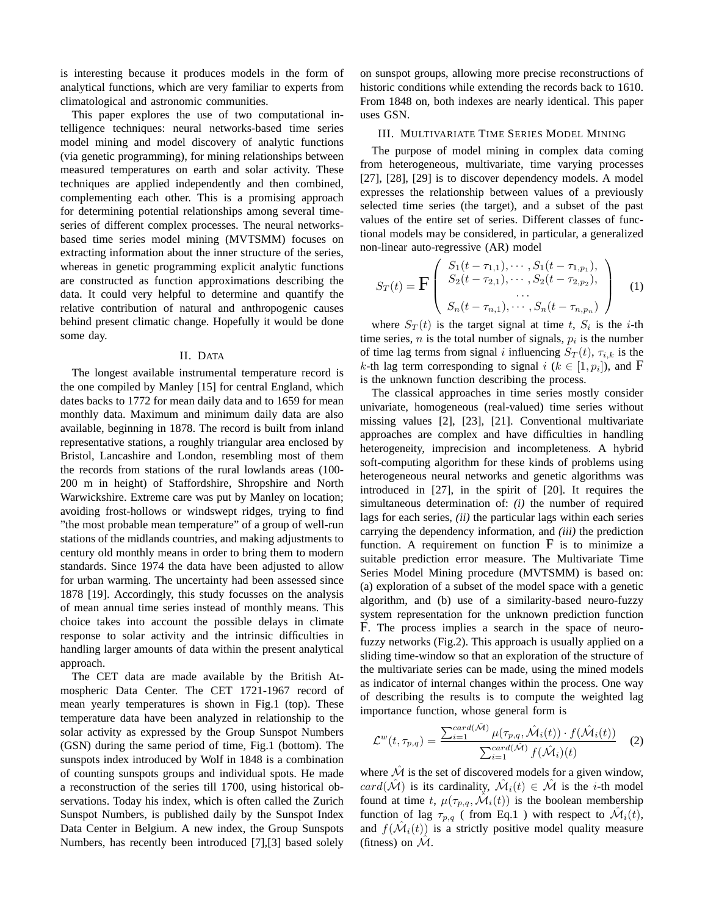is interesting because it produces models in the form of analytical functions, which are very familiar to experts from climatological and astronomic communities.

This paper explores the use of two computational intelligence techniques: neural networks-based time series model mining and model discovery of analytic functions (via genetic programming), for mining relationships between measured temperatures on earth and solar activity. These techniques are applied independently and then combined, complementing each other. This is a promising approach for determining potential relationships among several timeseries of different complex processes. The neural networksbased time series model mining (MVTSMM) focuses on extracting information about the inner structure of the series, whereas in genetic programming explicit analytic functions are constructed as function approximations describing the data. It could very helpful to determine and quantify the relative contribution of natural and anthropogenic causes behind present climatic change. Hopefully it would be done some day.

# II. DATA

The longest available instrumental temperature record is the one compiled by Manley [15] for central England, which dates backs to 1772 for mean daily data and to 1659 for mean monthly data. Maximum and minimum daily data are also available, beginning in 1878. The record is built from inland representative stations, a roughly triangular area enclosed by Bristol, Lancashire and London, resembling most of them the records from stations of the rural lowlands areas (100- 200 m in height) of Staffordshire, Shropshire and North Warwickshire. Extreme care was put by Manley on location; avoiding frost-hollows or windswept ridges, trying to find "the most probable mean temperature" of a group of well-run stations of the midlands countries, and making adjustments to century old monthly means in order to bring them to modern standards. Since 1974 the data have been adjusted to allow for urban warming. The uncertainty had been assessed since 1878 [19]. Accordingly, this study focusses on the analysis of mean annual time series instead of monthly means. This choice takes into account the possible delays in climate response to solar activity and the intrinsic difficulties in handling larger amounts of data within the present analytical approach.

The CET data are made available by the British Atmospheric Data Center. The CET 1721-1967 record of mean yearly temperatures is shown in Fig.1 (top). These temperature data have been analyzed in relationship to the solar activity as expressed by the Group Sunspot Numbers (GSN) during the same period of time, Fig.1 (bottom). The sunspots index introduced by Wolf in 1848 is a combination of counting sunspots groups and individual spots. He made a reconstruction of the series till 1700, using historical observations. Today his index, which is often called the Zurich Sunspot Numbers, is published daily by the Sunspot Index Data Center in Belgium. A new index, the Group Sunspots Numbers, has recently been introduced [7],[3] based solely

on sunspot groups, allowing more precise reconstructions of historic conditions while extending the records back to 1610. From 1848 on, both indexes are nearly identical. This paper uses GSN.

# III. MULTIVARIATE TIME SERIES MODEL MINING

The purpose of model mining in complex data coming from heterogeneous, multivariate, time varying processes [27], [28], [29] is to discover dependency models. A model expresses the relationship between values of a previously selected time series (the target), and a subset of the past values of the entire set of series. Different classes of functional models may be considered, in particular, a generalized non-linear auto-regressive (AR) model

$$
S_T(t) = \mathbf{F} \begin{pmatrix} S_1(t - \tau_{1,1}), \cdots, S_1(t - \tau_{1,p_1}), \\ S_2(t - \tau_{2,1}), \cdots, S_2(t - \tau_{2,p_2}), \\ \cdots \\ S_n(t - \tau_{n,1}), \cdots, S_n(t - \tau_{n,p_n}) \end{pmatrix}
$$
 (1)

where  $S_T(t)$  is the target signal at time t,  $S_i$  is the i-th time series,  $n$  is the total number of signals,  $p_i$  is the number of time lag terms from signal *i* influencing  $S_T(t)$ ,  $\tau_{i,k}$  is the *k*-th lag term corresponding to signal  $i$  ( $k \in [1, p_i]$ ), and F is the unknown function describing the process.

The classical approaches in time series mostly consider univariate, homogeneous (real-valued) time series without missing values [2], [23], [21]. Conventional multivariate approaches are complex and have difficulties in handling heterogeneity, imprecision and incompleteness. A hybrid soft-computing algorithm for these kinds of problems using heterogeneous neural networks and genetic algorithms was introduced in [27], in the spirit of [20]. It requires the simultaneous determination of: *(i)* the number of required lags for each series, *(ii)* the particular lags within each series carrying the dependency information, and *(iii)* the prediction function. A requirement on function  $F$  is to minimize a suitable prediction error measure. The Multivariate Time Series Model Mining procedure (MVTSMM) is based on: (a) exploration of a subset of the model space with a genetic algorithm, and (b) use of a similarity-based neuro-fuzzy system representation for the unknown prediction function F. The process implies a search in the space of neurofuzzy networks (Fig.2). This approach is usually applied on a sliding time-window so that an exploration of the structure of the multivariate series can be made, using the mined models as indicator of internal changes within the process. One way of describing the results is to compute the weighted lag importance function, whose general form is

$$
\mathcal{L}^w(t, \tau_{p,q}) = \frac{\sum_{i=1}^{card(\hat{\mathcal{M}})} \mu(\tau_{p,q}, \hat{\mathcal{M}}_i(t)) \cdot f(\hat{\mathcal{M}}_i(t))}{\sum_{i=1}^{card(\hat{\mathcal{M}})} f(\hat{\mathcal{M}}_i)(t)}
$$
(2)

where  $\mathcal M$  is the set of discovered models for a given window,  $card(\hat{\mathcal{M}})$  is its cardinality,  $\hat{\mathcal{M}}_i(t) \in \hat{\mathcal{M}}$  is the *i*-th model found at time t,  $\mu(\tau_{p,q}, \hat{\mathcal{M}}_i(t))$  is the boolean membership function of lag  $\tau_{p,q}$  ( from Eq.1 ) with respect to  $\mathcal{M}_i(t)$ , and  $f(\hat{\mathcal{M}}_i(t))$  is a strictly positive model quality measure (fitness) on  $\mathcal{M}$ .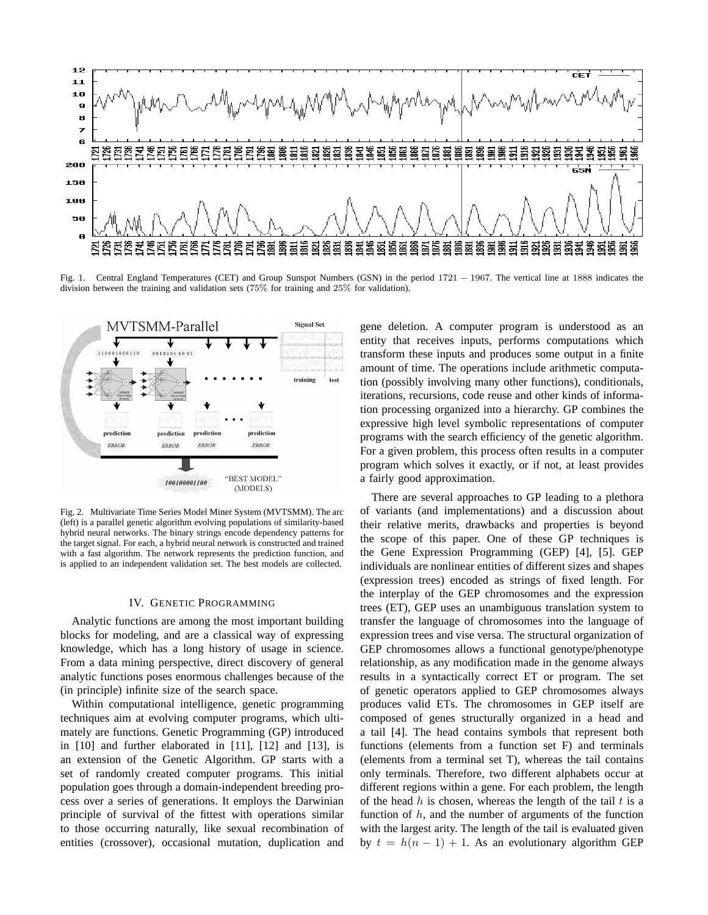

Fig. 1. Central England Temperatures (CET) and Group Sunspot Numbers (GSN) in the period 1721 − 1967. The vertical line at 1888 indicates the division between the training and validation sets (75% for training and 25% for validation).



Fig. 2. Multivariate Time Series Model Miner System (MVTSMM). The arc (left) is a parallel genetic algorithm evolving populations of similarity-based hybrid neural networks. The binary strings encode dependency patterns for the target signal. For each, a hybrid neural network is constructed and trained with a fast algorithm. The network represents the prediction function, and is applied to an independent validation set. The best models are collected.

#### IV. GENETIC PROGRAMMING

Analytic functions are among the most important building blocks for modeling, and are a classical way of expressing knowledge, which has a long history of usage in science. From a data mining perspective, direct discovery of general analytic functions poses enormous challenges because of the (in principle) infinite size of the search space.

Within computational intelligence, genetic programming techniques aim at evolving computer programs, which ultimately are functions. Genetic Programming (GP) introduced in [10] and further elaborated in [11], [12] and [13], is an extension of the Genetic Algorithm. GP starts with a set of randomly created computer programs. This initial population goes through a domain-independent breeding process over a series of generations. It employs the Darwinian principle of survival of the fittest with operations similar to those occurring naturally, like sexual recombination of entities (crossover), occasional mutation, duplication and

gene deletion. A computer program is understood as an entity that receives inputs, performs computations which transform these inputs and produces some output in a finite amount of time. The operations include arithmetic computation (possibly involving many other functions), conditionals, iterations, recursions, code reuse and other kinds of information processing organized into a hierarchy. GP combines the expressive high level symbolic representations of computer programs with the search efficiency of the genetic algorithm. For a given problem, this process often results in a computer program which solves it exactly, or if not, at least provides a fairly good approximation.

There are several approaches to GP leading to a plethora of variants (and implementations) and a discussion about their relative merits, drawbacks and properties is beyond the scope of this paper. One of these GP techniques is the Gene Expression Programming (GEP) [4], [5]. GEP individuals are nonlinear entities of different sizes and shapes (expression trees) encoded as strings of fixed length. For the interplay of the GEP chromosomes and the expression trees (ET), GEP uses an unambiguous translation system to transfer the language of chromosomes into the language of expression trees and vise versa. The structural organization of GEP chromosomes allows a functional genotype/phenotype relationship, as any modification made in the genome always results in a syntactically correct ET or program. The set of genetic operators applied to GEP chromosomes always produces valid ETs. The chromosomes in GEP itself are composed of genes structurally organized in a head and a tail [4]. The head contains symbols that represent both functions (elements from a function set F) and terminals (elements from a terminal set T), whereas the tail contains only terminals. Therefore, two different alphabets occur at different regions within a gene. For each problem, the length of the head  $h$  is chosen, whereas the length of the tail  $t$  is a function of  $h$ , and the number of arguments of the function with the largest arity. The length of the tail is evaluated given by  $t = h(n - 1) + 1$ . As an evolutionary algorithm GEP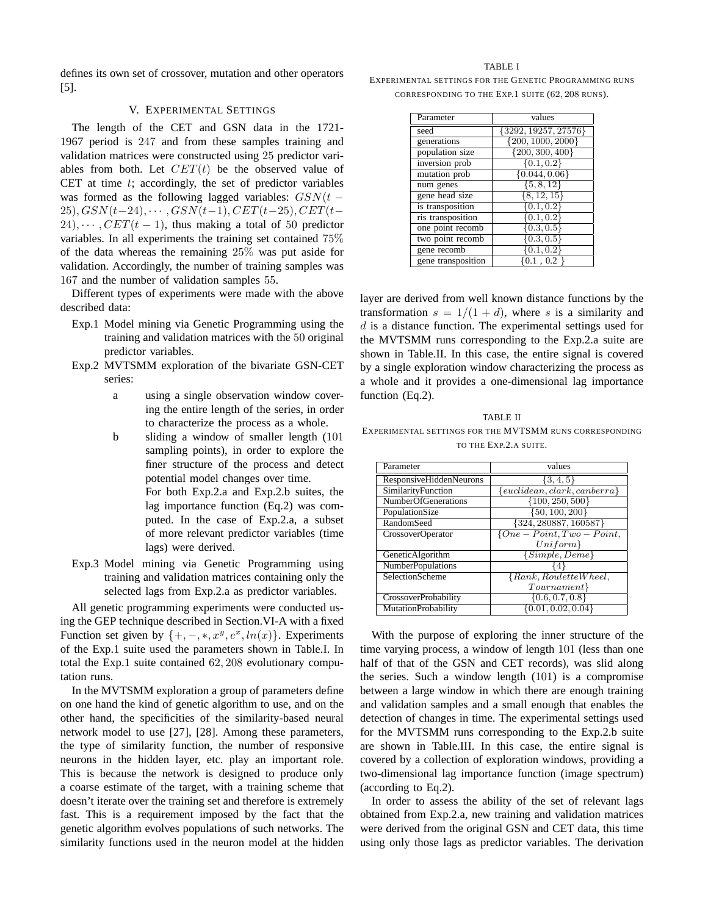defines its own set of crossover, mutation and other operators [5].

# V. EXPERIMENTAL SETTINGS

The length of the CET and GSN data in the 1721- 1967 period is 247 and from these samples training and validation matrices were constructed using 25 predictor variables from both. Let  $CET(t)$  be the observed value of CET at time  $t$ ; accordingly, the set of predictor variables was formed as the following lagged variables:  $GSN(t 25), GSN(t-24), \cdots, GSN(t-1), CET(t-25), CET(t-$ 24),  $\cdots$ ,  $CET(t-1)$ , thus making a total of 50 predictor variables. In all experiments the training set contained 75% of the data whereas the remaining 25% was put aside for validation. Accordingly, the number of training samples was 167 and the number of validation samples 55.

Different types of experiments were made with the above described data:

- Exp.1 Model mining via Genetic Programming using the training and validation matrices with the 50 original predictor variables.
- Exp.2 MVTSMM exploration of the bivariate GSN-CET series:
	- a using a single observation window covering the entire length of the series, in order to characterize the process as a whole.
	- b sliding a window of smaller length (101 sampling points), in order to explore the finer structure of the process and detect potential model changes over time.

For both Exp.2.a and Exp.2.b suites, the lag importance function (Eq.2) was computed. In the case of Exp.2.a, a subset of more relevant predictor variables (time lags) were derived.

Exp.3 Model mining via Genetic Programming using training and validation matrices containing only the selected lags from Exp.2.a as predictor variables.

All genetic programming experiments were conducted using the GEP technique described in Section.VI-A with a fixed Function set given by  $\{+, -, *, x^y, e^x, ln(x)\}$ . Experiments of the Exp.1 suite used the parameters shown in Table.I. In total the Exp.1 suite contained 62, 208 evolutionary computation runs.

In the MVTSMM exploration a group of parameters define on one hand the kind of genetic algorithm to use, and on the other hand, the specificities of the similarity-based neural network model to use [27], [28]. Among these parameters, the type of similarity function, the number of responsive neurons in the hidden layer, etc. play an important role. This is because the network is designed to produce only a coarse estimate of the target, with a training scheme that doesn't iterate over the training set and therefore is extremely fast. This is a requirement imposed by the fact that the genetic algorithm evolves populations of such networks. The similarity functions used in the neuron model at the hidden

TABLE I

| EXPERIMENTAL SETTINGS FOR THE GENETIC PROGRAMMING RUNS |  |                                                  |  |
|--------------------------------------------------------|--|--------------------------------------------------|--|
|                                                        |  | CORRESPONDING TO THE EXP.1 SUITE (62, 208 RUNS). |  |

| Parameter          | values                 |  |
|--------------------|------------------------|--|
| seed               | ${3292, 19257, 27576}$ |  |
| generations        | $\{200, 1000, 2000\}$  |  |
| population size    | $\{200, 300, 400\}$    |  |
| inversion prob     | $\{0.1, 0.2\}$         |  |
| mutation prob      | $\{0.044, 0.06\}$      |  |
| num genes          | $\{5, 8, 12\}$         |  |
| gene head size     | $\{8, 12, 15\}$        |  |
| is transposition   | $\{0.1, 0.2\}$         |  |
| ris transposition  | 0.1, 0.2               |  |
| one point recomb   | $\{0.3, 0.5\}$         |  |
| two point recomb   | $\{0.3, 0.5\}$         |  |
| gene recomb        | [0.1, 0.2]             |  |
| gene transposition | .1 . 0.2               |  |

layer are derived from well known distance functions by the transformation  $s = 1/(1 + d)$ , where s is a similarity and  $d$  is a distance function. The experimental settings used for the MVTSMM runs corresponding to the Exp.2.a suite are shown in Table.II. In this case, the entire signal is covered by a single exploration window characterizing the process as a whole and it provides a one-dimensional lag importance function (Eq.2).

TABLE II EXPERIMENTAL SETTINGS FOR THE MVTSMM RUNS CORRESPONDING TO THE EXP.2.A SUITE.

| Parameter                   | values                          |  |
|-----------------------------|---------------------------------|--|
| ResponsiveHiddenNeurons     | $\{3,4,5\}$                     |  |
| SimilarityFunction          | ${euclidean, clark, can berra}$ |  |
| <b>NumberOfGenerations</b>  | $\{100, 250, 500\}$             |  |
| PopulationSize              | $\{50, 100, 200\}$              |  |
| RandomSeed                  | $\{324, 280887, 160587\}$       |  |
| <b>CrossoverOperator</b>    | $\{One-Point, Two-Point,$       |  |
|                             | $Uniform\}$                     |  |
| GeneticAlgorithm            | $\{Simple, Deme\}$              |  |
| <b>NumberPopulations</b>    |                                 |  |
| SelectionScheme             | ${Rank, RouletteWheel, }$       |  |
|                             | Tournament                      |  |
| <b>CrossoverProbability</b> | $\{0.6, 0.7, 0.8\}$             |  |
| MutationProbability         | $\{0.01, 0.02, 0.04\}$          |  |

With the purpose of exploring the inner structure of the time varying process, a window of length 101 (less than one half of that of the GSN and CET records), was slid along the series. Such a window length (101) is a compromise between a large window in which there are enough training and validation samples and a small enough that enables the detection of changes in time. The experimental settings used for the MVTSMM runs corresponding to the Exp.2.b suite are shown in Table.III. In this case, the entire signal is covered by a collection of exploration windows, providing a two-dimensional lag importance function (image spectrum) (according to Eq.2).

In order to assess the ability of the set of relevant lags obtained from Exp.2.a, new training and validation matrices were derived from the original GSN and CET data, this time using only those lags as predictor variables. The derivation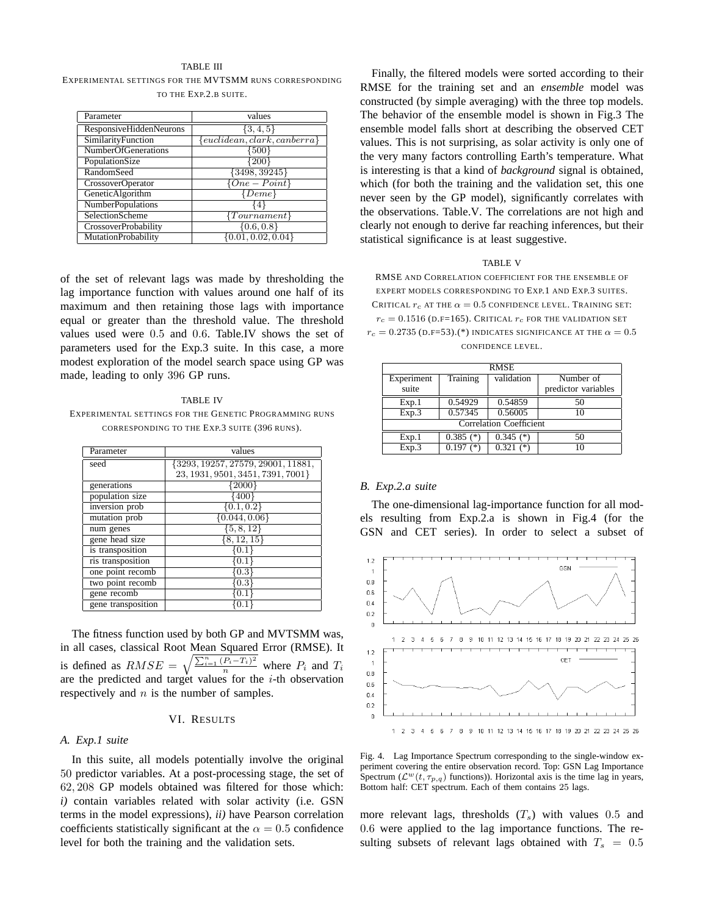# TABLE III EXPERIMENTAL SETTINGS FOR THE MVTSMM RUNS CORRESPONDING TO THE EXP.2.B SUITE.

| Parameter                   | values                          |  |  |
|-----------------------------|---------------------------------|--|--|
| ResponsiveHiddenNeurons     | $\{3,4,5\}$                     |  |  |
| SimilarityFunction          | ${euclidean, clark, can berra}$ |  |  |
| <b>NumberOfGenerations</b>  | {500}                           |  |  |
| PopulationSize              | $\left\lceil 200\right\rceil$   |  |  |
| RandomSeed                  | ${3498, 39245}$                 |  |  |
| <b>CrossoverOperator</b>    | $\{One - Point\}$               |  |  |
| GeneticAlgorithm            | $\{Deme\}$                      |  |  |
| <b>NumberPopulations</b>    | 14                              |  |  |
| <b>SelectionScheme</b>      | ${Tournament}$                  |  |  |
| <b>CrossoverProbability</b> | $\{0.6, 0.8\}$                  |  |  |
| MutationProbability         | $\{0.01, 0.02, 0.04\}$          |  |  |

of the set of relevant lags was made by thresholding the lag importance function with values around one half of its maximum and then retaining those lags with importance equal or greater than the threshold value. The threshold values used were 0.5 and 0.6. Table.IV shows the set of parameters used for the Exp.3 suite. In this case, a more modest exploration of the model search space using GP was made, leading to only 396 GP runs.

#### TABLE IV

EXPERIMENTAL SETTINGS FOR THE GENETIC PROGRAMMING RUNS CORRESPONDING TO THE EXP.3 SUITE (396 RUNS).

| Parameter          | values                                |  |  |
|--------------------|---------------------------------------|--|--|
| seed               | $\{3293, 19257, 27579, 29001, 11881,$ |  |  |
|                    | 23, 1931, 9501, 3451, 7391, 7001}     |  |  |
| generations        | $\{2000\}$                            |  |  |
| population size    | {400}                                 |  |  |
| inversion prob     | $\{0.1, 0.2\}$                        |  |  |
| mutation prob      | $\{0.044, 0.06\}$                     |  |  |
| num genes          | $\{5, 8, 12\}$                        |  |  |
| gene head size     | $\{8, 12, 15\}$                       |  |  |
| is transposition   | $\left\{ 0.1 \right\}$                |  |  |
| ris transposition  | 0.1                                   |  |  |
| one point recomb   | 0.3                                   |  |  |
| two point recomb   | $\rm 0.3$                             |  |  |
| gene recomb        | 0.1                                   |  |  |
| gene transposition |                                       |  |  |

The fitness function used by both GP and MVTSMM was, in all cases, classical Root Mean Squared Error (RMSE). It is defined as  $RMSE = \sqrt{\frac{\sum_{i=1}^{n} (P_i - T_i)^2}{n}}$  where  $P_i$  and  $T_i$ are the predicted and target values for the  $i$ -th observation respectively and  $n$  is the number of samples.

# VI. RESULTS

#### *A. Exp.1 suite*

In this suite, all models potentially involve the original 50 predictor variables. At a post-processing stage, the set of 62, 208 GP models obtained was filtered for those which: *i)* contain variables related with solar activity (i.e. GSN terms in the model expressions), *ii)* have Pearson correlation coefficients statistically significant at the  $\alpha = 0.5$  confidence level for both the training and the validation sets.

Finally, the filtered models were sorted according to their RMSE for the training set and an *ensemble* model was constructed (by simple averaging) with the three top models. The behavior of the ensemble model is shown in Fig.3 The ensemble model falls short at describing the observed CET values. This is not surprising, as solar activity is only one of the very many factors controlling Earth's temperature. What is interesting is that a kind of *background* signal is obtained, which (for both the training and the validation set, this one never seen by the GP model), significantly correlates with the observations. Table.V. The correlations are not high and clearly not enough to derive far reaching inferences, but their statistical significance is at least suggestive.

#### TABLE V

RMSE AND CORRELATION COEFFICIENT FOR THE ENSEMBLE OF EXPERT MODELS CORRESPONDING TO EXP.1 AND EXP.3 SUITES. CRITICAL  $r_c$  AT THE  $\alpha = 0.5$  CONFIDENCE LEVEL. TRAINING SET:  $r_c = 0.1516$  (d.f=165). Critical  $r_c$  for the validation set  $r_c = 0.2735$  (d.f=53).(\*) INDICATES SIGNIFICANCE AT THE  $\alpha = 0.5$ CONFIDENCE LEVEL.

| <b>RMSE</b>                    |                        |             |                     |  |  |  |
|--------------------------------|------------------------|-------------|---------------------|--|--|--|
| Experiment                     | Training               | validation  | Number of           |  |  |  |
| suite                          |                        |             | predictor variables |  |  |  |
| Exp.1                          | 0.54929                | 0.54859     | 50                  |  |  |  |
| Exp.3                          | 0.57345                | 0.56005     |                     |  |  |  |
| <b>Correlation Coefficient</b> |                        |             |                     |  |  |  |
| Exp.1                          | $0.385$ (*)            | $0.345$ (*) | 50                  |  |  |  |
| Exp.3                          | $0.\overline{197}$ (*) | $0.321$ (*) |                     |  |  |  |

#### *B. Exp.2.a suite*

The one-dimensional lag-importance function for all models resulting from Exp.2.a is shown in Fig.4 (for the GSN and CET series). In order to select a subset of



Fig. 4. Lag Importance Spectrum corresponding to the single-window experiment covering the entire observation record. Top: GSN Lag Importance Spectrum ( $\mathcal{L}^w(t, \tau_{p,q})$  functions)). Horizontal axis is the time lag in years, Bottom half: CET spectrum. Each of them contains 25 lags.

more relevant lags, thresholds  $(T_s)$  with values 0.5 and 0.6 were applied to the lag importance functions. The resulting subsets of relevant lags obtained with  $T_s = 0.5$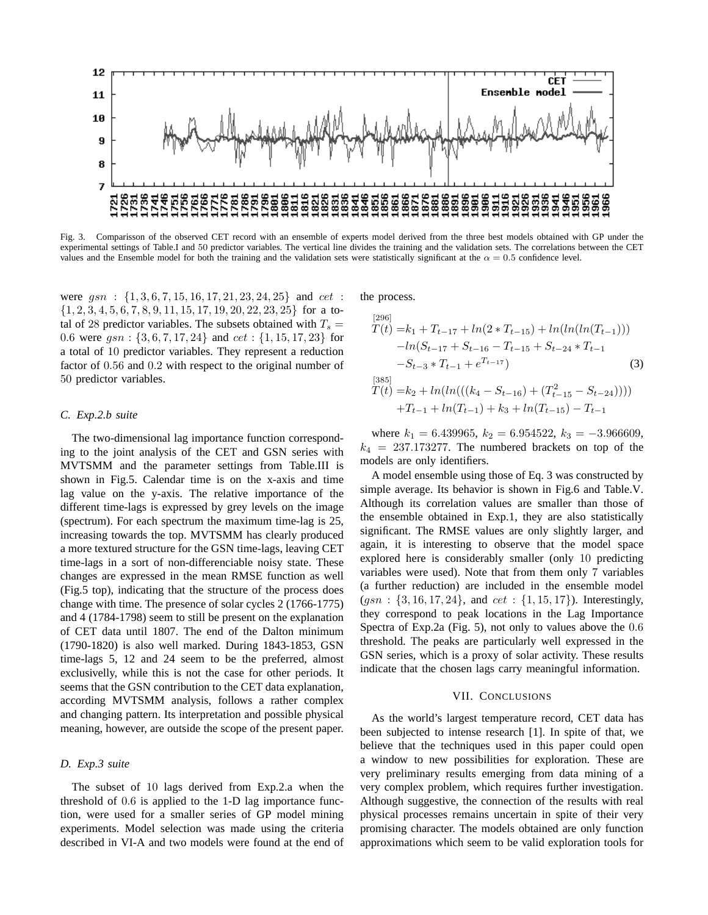

Fig. 3. Comparisson of the observed CET record with an ensemble of experts model derived from the three best models obtained with GP under the experimental settings of Table.I and 50 predictor variables. The vertical line divides the training and the validation sets. The correlations between the CET values and the Ensemble model for both the training and the validation sets were statistically significant at the  $\alpha = 0.5$  confidence level.

were  $gsn : \{1, 3, 6, 7, 15, 16, 17, 21, 23, 24, 25\}$  and  $cet :$  $\{1, 2, 3, 4, 5, 6, 7, 8, 9, 11, 15, 17, 19, 20, 22, 23, 25\}$  for a total of 28 predictor variables. The subsets obtained with  $T_s =$ 0.6 were  $gsn : \{3, 6, 7, 17, 24\}$  and  $cet : \{1, 15, 17, 23\}$  for a total of 10 predictor variables. They represent a reduction factor of 0.56 and 0.2 with respect to the original number of 50 predictor variables.

# *C. Exp.2.b suite*

The two-dimensional lag importance function corresponding to the joint analysis of the CET and GSN series with MVTSMM and the parameter settings from Table.III is shown in Fig.5. Calendar time is on the x-axis and time lag value on the y-axis. The relative importance of the different time-lags is expressed by grey levels on the image (spectrum). For each spectrum the maximum time-lag is 25, increasing towards the top. MVTSMM has clearly produced a more textured structure for the GSN time-lags, leaving CET time-lags in a sort of non-differenciable noisy state. These changes are expressed in the mean RMSE function as well (Fig.5 top), indicating that the structure of the process does change with time. The presence of solar cycles 2 (1766-1775) and 4 (1784-1798) seem to still be present on the explanation of CET data until 1807. The end of the Dalton minimum (1790-1820) is also well marked. During 1843-1853, GSN time-lags 5, 12 and 24 seem to be the preferred, almost exclusivelly, while this is not the case for other periods. It seems that the GSN contribution to the CET data explanation, according MVTSMM analysis, follows a rather complex and changing pattern. Its interpretation and possible physical meaning, however, are outside the scope of the present paper.

# *D. Exp.3 suite*

The subset of 10 lags derived from Exp.2.a when the threshold of 0.6 is applied to the 1-D lag importance function, were used for a smaller series of GP model mining experiments. Model selection was made using the criteria described in VI-A and two models were found at the end of the process.

$$
T(t) = k_1 + T_{t-17} + ln(2 * T_{t-15}) + ln(ln(ln(T_{t-1})))
$$
  
\n
$$
-ln(S_{t-17} + S_{t-16} - T_{t-15} + S_{t-24} * T_{t-1})
$$
  
\n
$$
-S_{t-3} * T_{t-1} + e^{T_{t-17}})
$$
  
\n(3)  
\n
$$
T(t) = k_2 + ln(ln(((k_4 - S_{t-16}) + (T_{t-15}^2 - S_{t-24}))))
$$
  
\n
$$
+T_{t-1} + ln(T_{t-1}) + k_3 + ln(T_{t-15}) - T_{t-1}
$$

where  $k_1 = 6.439965$ ,  $k_2 = 6.954522$ ,  $k_3 = -3.966609$ ,  $k_4$  = 237.173277. The numbered brackets on top of the models are only identifiers.

A model ensemble using those of Eq. 3 was constructed by simple average. Its behavior is shown in Fig.6 and Table.V. Although its correlation values are smaller than those of the ensemble obtained in Exp.1, they are also statistically significant. The RMSE values are only slightly larger, and again, it is interesting to observe that the model space explored here is considerably smaller (only 10 predicting variables were used). Note that from them only 7 variables (a further reduction) are included in the ensemble model  $(gsn : \{3, 16, 17, 24\}, \text{ and } cet : \{1, 15, 17\})$ . Interestingly, they correspond to peak locations in the Lag Importance Spectra of Exp.2a (Fig. 5), not only to values above the 0.6 threshold. The peaks are particularly well expressed in the GSN series, which is a proxy of solar activity. These results indicate that the chosen lags carry meaningful information.

#### VII. CONCLUSIONS

As the world's largest temperature record, CET data has been subjected to intense research [1]. In spite of that, we believe that the techniques used in this paper could open a window to new possibilities for exploration. These are very preliminary results emerging from data mining of a very complex problem, which requires further investigation. Although suggestive, the connection of the results with real physical processes remains uncertain in spite of their very promising character. The models obtained are only function approximations which seem to be valid exploration tools for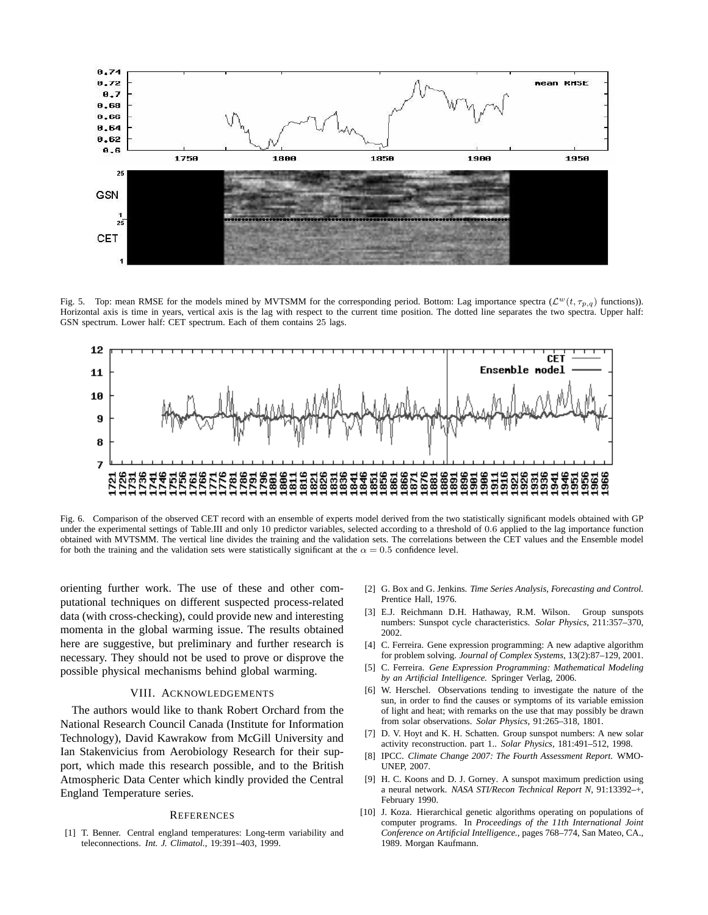

Fig. 5. Top: mean RMSE for the models mined by MVTSMM for the corresponding period. Bottom: Lag importance spectra ( $\mathcal{L}^w(t, \tau_{p,q})$  functions)). Horizontal axis is time in years, vertical axis is the lag with respect to the current time position. The dotted line separates the two spectra. Upper half: GSN spectrum. Lower half: CET spectrum. Each of them contains 25 lags.



Fig. 6. Comparison of the observed CET record with an ensemble of experts model derived from the two statistically significant models obtained with GP under the experimental settings of Table.III and only 10 predictor variables, selected according to a threshold of 0.6 applied to the lag importance function obtained with MVTSMM. The vertical line divides the training and the validation sets. The correlations between the CET values and the Ensemble model for both the training and the validation sets were statistically significant at the  $\alpha = 0.5$  confidence level.

orienting further work. The use of these and other computational techniques on different suspected process-related data (with cross-checking), could provide new and interesting momenta in the global warming issue. The results obtained here are suggestive, but preliminary and further research is necessary. They should not be used to prove or disprove the possible physical mechanisms behind global warming.

# VIII. ACKNOWLEDGEMENTS

The authors would like to thank Robert Orchard from the National Research Council Canada (Institute for Information Technology), David Kawrakow from McGill University and Ian Stakenvicius from Aerobiology Research for their support, which made this research possible, and to the British Atmospheric Data Center which kindly provided the Central England Temperature series.

### **REFERENCES**

[1] T. Benner. Central england temperatures: Long-term variability and teleconnections. *Int. J. Climatol.*, 19:391–403, 1999.

- [2] G. Box and G. Jenkins. *Time Series Analysis, Forecasting and Control.* Prentice Hall, 1976.
- [3] E.J. Reichmann D.H. Hathaway, R.M. Wilson. Group sunspots numbers: Sunspot cycle characteristics. *Solar Physics*, 211:357–370, 2002.
- [4] C. Ferreira. Gene expression programming: A new adaptive algorithm for problem solving. *Journal of Complex Systems*, 13(2):87–129, 2001.
- [5] C. Ferreira. *Gene Expression Programming: Mathematical Modeling by an Artificial Intelligence.* Springer Verlag, 2006.
- [6] W. Herschel. Observations tending to investigate the nature of the sun, in order to find the causes or symptoms of its variable emission of light and heat; with remarks on the use that may possibly be drawn from solar observations. *Solar Physics*, 91:265–318, 1801.
- [7] D. V. Hoyt and K. H. Schatten. Group sunspot numbers: A new solar activity reconstruction. part 1.. *Solar Physics*, 181:491–512, 1998.
- [8] IPCC. *Climate Change 2007: The Fourth Assessment Report.* WMO-**UNEP**, 2007.
- [9] H. C. Koons and D. J. Gorney. A sunspot maximum prediction using a neural network. *NASA STI/Recon Technical Report N*, 91:13392–+, February 1990.
- [10] J. Koza. Hierarchical genetic algorithms operating on populations of computer programs. In *Proceedings of the 11th International Joint Conference on Artificial Intelligence.*, pages 768–774, San Mateo, CA., 1989. Morgan Kaufmann.